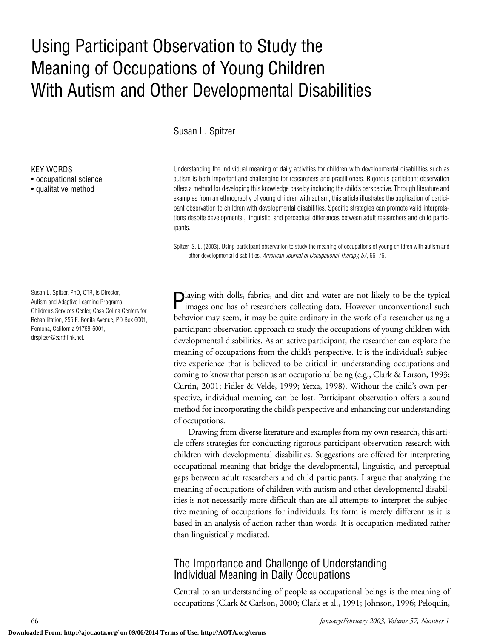# Using Participant Observation to Study the Meaning of Occupations of Young Children With Autism and Other Developmental Disabilities

#### Susan L. Spitzer

Understanding the individual meaning of daily activities for children with developmental disabilities such as autism is both important and challenging for researchers and practitioners. Rigorous participant observation offers a method for developing this knowledge base by including the child's perspective. Through literature and examples from an ethnography of young children with autism, this article illustrates the application of participant observation to children with developmental disabilities. Specific strategies can promote valid interpretations despite developmental, linguistic, and perceptual differences between adult researchers and child participants.

Spitzer, S. L. (2003). Using participant observation to study the meaning of occupations of young children with autism and other developmental disabilities. *American Journal of Occupational Therapy, 57,* 66–76.

Playing with dolls, fabrics, and dirt and water are not likely to be the typical images one has of researchers collecting data. However unconventional such behavior may seem, it may be quite ordinary in the work of a researcher using a participant-observation approach to study the occupations of young children with developmental disabilities. As an active participant, the researcher can explore the meaning of occupations from the child's perspective. It is the individual's subjective experience that is believed to be critical in understanding occupations and coming to know that person as an occupational being (e.g., Clark & Larson, 1993; Curtin, 2001; Fidler & Velde, 1999; Yerxa, 1998). Without the child's own perspective, individual meaning can be lost. Participant observation offers a sound method for incorporating the child's perspective and enhancing our understanding of occupations.

Drawing from diverse literature and examples from my own research, this article offers strategies for conducting rigorous participant-observation research with children with developmental disabilities. Suggestions are offered for interpreting occupational meaning that bridge the developmental, linguistic, and perceptual gaps between adult researchers and child participants. I argue that analyzing the meaning of occupations of children with autism and other developmental disabilities is not necessarily more difficult than are all attempts to interpret the subjective meaning of occupations for individuals. Its form is merely different as it is based in an analysis of action rather than words. It is occupation-mediated rather than linguistically mediated.

## The Importance and Challenge of Understanding Individual Meaning in Daily Occupations

Central to an understanding of people as occupational beings is the meaning of occupations (Clark & Carlson, 2000; Clark et al., 1991; Johnson, 1996; Peloquin,

KEY WORDS

• occupational science

• qualitative method

Susan L. Spitzer, PhD, OTR, is Director, Autism and Adaptive Learning Programs, Children's Services Center, Casa Colina Centers for Rehabilitation, 255 E. Bonita Avenue, PO Box 6001, Pomona, California 91769-6001; drspitzer@earthlink.net.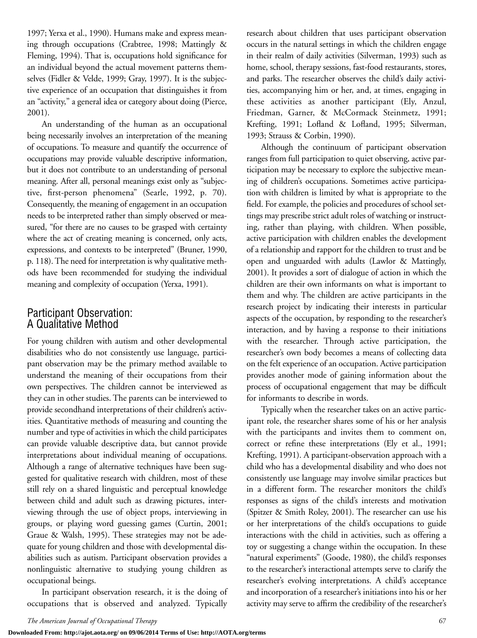1997; Yerxa et al., 1990). Humans make and express meaning through occupations (Crabtree, 1998; Mattingly & Fleming, 1994). That is, occupations hold significance for an individual beyond the actual movement patterns themselves (Fidler & Velde, 1999; Gray, 1997). It is the subjective experience of an occupation that distinguishes it from an "activity," a general idea or category about doing (Pierce, 2001).

An understanding of the human as an occupational being necessarily involves an interpretation of the meaning of occupations. To measure and quantify the occurrence of occupations may provide valuable descriptive information, but it does not contribute to an understanding of personal meaning. After all, personal meanings exist only as "subjective, first-person phenomena" (Searle, 1992, p. 70). Consequently, the meaning of engagement in an occupation needs to be interpreted rather than simply observed or measured, "for there are no causes to be grasped with certainty where the act of creating meaning is concerned, only acts, expressions, and contexts to be interpreted" (Bruner, 1990, p. 118). The need for interpretation is why qualitative methods have been recommended for studying the individual meaning and complexity of occupation (Yerxa, 1991).

## Participant Observation: A Qualitative Method

For young children with autism and other developmental disabilities who do not consistently use language, participant observation may be the primary method available to understand the meaning of their occupations from their own perspectives. The children cannot be interviewed as they can in other studies. The parents can be interviewed to provide secondhand interpretations of their children's activities. Quantitative methods of measuring and counting the number and type of activities in which the child participates can provide valuable descriptive data, but cannot provide interpretations about individual meaning of occupations. Although a range of alternative techniques have been suggested for qualitative research with children, most of these still rely on a shared linguistic and perceptual knowledge between child and adult such as drawing pictures, interviewing through the use of object props, interviewing in groups, or playing word guessing games (Curtin, 2001; Graue & Walsh, 1995). These strategies may not be adequate for young children and those with developmental disabilities such as autism. Participant observation provides a nonlinguistic alternative to studying young children as occupational beings.

In participant observation research, it is the doing of occupations that is observed and analyzed. Typically

research about children that uses participant observation occurs in the natural settings in which the children engage in their realm of daily activities (Silverman, 1993) such as home, school, therapy sessions, fast-food restaurants, stores, and parks. The researcher observes the child's daily activities, accompanying him or her, and, at times, engaging in these activities as another participant (Ely, Anzul, Friedman, Garner, & McCormack Steinmetz, 1991; Krefting, 1991; Lofland & Lofland, 1995; Silverman, 1993; Strauss & Corbin, 1990).

Although the continuum of participant observation ranges from full participation to quiet observing, active participation may be necessary to explore the subjective meaning of children's occupations. Sometimes active participation with children is limited by what is appropriate to the field. For example, the policies and procedures of school settings may prescribe strict adult roles of watching or instructing, rather than playing, with children. When possible, active participation with children enables the development of a relationship and rapport for the children to trust and be open and unguarded with adults (Lawlor & Mattingly, 2001). It provides a sort of dialogue of action in which the children are their own informants on what is important to them and why. The children are active participants in the research project by indicating their interests in particular aspects of the occupation, by responding to the researcher's interaction, and by having a response to their initiations with the researcher. Through active participation, the researcher's own body becomes a means of collecting data on the felt experience of an occupation. Active participation provides another mode of gaining information about the process of occupational engagement that may be difficult for informants to describe in words.

Typically when the researcher takes on an active participant role, the researcher shares some of his or her analysis with the participants and invites them to comment on, correct or refine these interpretations (Ely et al., 1991; Krefting, 1991). A participant-observation approach with a child who has a developmental disability and who does not consistently use language may involve similar practices but in a different form. The researcher monitors the child's responses as signs of the child's interests and motivation (Spitzer & Smith Roley, 2001). The researcher can use his or her interpretations of the child's occupations to guide interactions with the child in activities, such as offering a toy or suggesting a change within the occupation. In these "natural experiments" (Goode, 1980), the child's responses to the researcher's interactional attempts serve to clarify the researcher's evolving interpretations. A child's acceptance and incorporation of a researcher's initiations into his or her activity may serve to affirm the credibility of the researcher's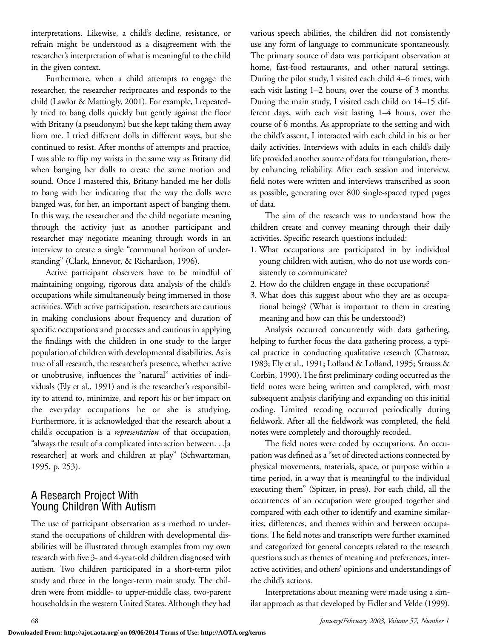interpretations. Likewise, a child's decline, resistance, or refrain might be understood as a disagreement with the researcher's interpretation of what is meaningful to the child in the given context.

Furthermore, when a child attempts to engage the researcher, the researcher reciprocates and responds to the child (Lawlor & Mattingly, 2001). For example, I repeatedly tried to bang dolls quickly but gently against the floor with Britany (a pseudonym) but she kept taking them away from me. I tried different dolls in different ways, but she continued to resist. After months of attempts and practice, I was able to flip my wrists in the same way as Britany did when banging her dolls to create the same motion and sound. Once I mastered this, Britany handed me her dolls to bang with her indicating that the way the dolls were banged was, for her, an important aspect of banging them. In this way, the researcher and the child negotiate meaning through the activity just as another participant and researcher may negotiate meaning through words in an interview to create a single "communal horizon of understanding" (Clark, Ennevor, & Richardson, 1996).

Active participant observers have to be mindful of maintaining ongoing, rigorous data analysis of the child's occupations while simultaneously being immersed in those activities. With active participation, researchers are cautious in making conclusions about frequency and duration of specific occupations and processes and cautious in applying the findings with the children in one study to the larger population of children with developmental disabilities. As is true of all research, the researcher's presence, whether active or unobtrusive, influences the "natural" activities of individuals (Ely et al., 1991) and is the researcher's responsibility to attend to, minimize, and report his or her impact on the everyday occupations he or she is studying. Furthermore, it is acknowledged that the research about a child's occupation is a *representation* of that occupation, "always the result of a complicated interaction between. . .[a researcher] at work and children at play" (Schwartzman, 1995, p. 253).

## A Research Project With Young Children With Autism

The use of participant observation as a method to understand the occupations of children with developmental disabilities will be illustrated through examples from my own research with five 3- and 4-year-old children diagnosed with autism. Two children participated in a short-term pilot study and three in the longer-term main study. The children were from middle- to upper-middle class, two-parent households in the western United States. Although they had various speech abilities, the children did not consistently use any form of language to communicate spontaneously. The primary source of data was participant observation at home, fast-food restaurants, and other natural settings. During the pilot study, I visited each child 4–6 times, with each visit lasting 1–2 hours, over the course of 3 months. During the main study, I visited each child on 14–15 different days, with each visit lasting 1–4 hours, over the course of 6 months. As appropriate to the setting and with the child's assent, I interacted with each child in his or her daily activities. Interviews with adults in each child's daily life provided another source of data for triangulation, thereby enhancing reliability. After each session and interview, field notes were written and interviews transcribed as soon as possible, generating over 800 single-spaced typed pages of data.

The aim of the research was to understand how the children create and convey meaning through their daily activities. Specific research questions included:

- 1. What occupations are participated in by individual young children with autism, who do not use words consistently to communicate?
- 2. How do the children engage in these occupations?
- 3. What does this suggest about who they are as occupational beings? (What is important to them in creating meaning and how can this be understood?)

Analysis occurred concurrently with data gathering, helping to further focus the data gathering process, a typical practice in conducting qualitative research (Charmaz, 1983; Ely et al., 1991; Lofland & Lofland, 1995; Strauss & Corbin, 1990). The first preliminary coding occurred as the field notes were being written and completed, with most subsequent analysis clarifying and expanding on this initial coding. Limited recoding occurred periodically during fieldwork. After all the fieldwork was completed, the field notes were completely and thoroughly recoded.

The field notes were coded by occupations. An occupation was defined as a "set of directed actions connected by physical movements, materials, space, or purpose within a time period, in a way that is meaningful to the individual executing them" (Spitzer, in press). For each child, all the occurrences of an occupation were grouped together and compared with each other to identify and examine similarities, differences, and themes within and between occupations. The field notes and transcripts were further examined and categorized for general concepts related to the research questions such as themes of meaning and preferences, interactive activities, and others' opinions and understandings of the child's actions.

Interpretations about meaning were made using a similar approach as that developed by Fidler and Velde (1999).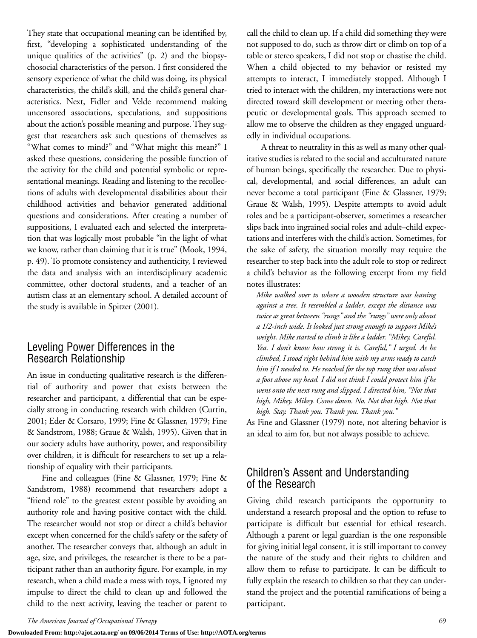They state that occupational meaning can be identified by, first, "developing a sophisticated understanding of the unique qualities of the activities" (p. 2) and the biopsychosocial characteristics of the person. I first considered the sensory experience of what the child was doing, its physical characteristics, the child's skill, and the child's general characteristics. Next, Fidler and Velde recommend making uncensored associations, speculations, and suppositions about the action's possible meaning and purpose. They suggest that researchers ask such questions of themselves as "What comes to mind?" and "What might this mean?" I asked these questions, considering the possible function of the activity for the child and potential symbolic or representational meanings. Reading and listening to the recollections of adults with developmental disabilities about their childhood activities and behavior generated additional questions and considerations. After creating a number of suppositions, I evaluated each and selected the interpretation that was logically most probable "in the light of what we know, rather than claiming that it is true" (Mook, 1994, p. 49). To promote consistency and authenticity, I reviewed the data and analysis with an interdisciplinary academic committee, other doctoral students, and a teacher of an autism class at an elementary school. A detailed account of the study is available in Spitzer (2001).

#### Leveling Power Differences in the Research Relationship

An issue in conducting qualitative research is the differential of authority and power that exists between the researcher and participant, a differential that can be especially strong in conducting research with children (Curtin, 2001; Eder & Corsaro, 1999; Fine & Glassner, 1979; Fine & Sandstrom, 1988; Graue & Walsh, 1995). Given that in our society adults have authority, power, and responsibility over children, it is difficult for researchers to set up a relationship of equality with their participants.

Fine and colleagues (Fine & Glassner, 1979; Fine & Sandstrom, 1988) recommend that researchers adopt a "friend role" to the greatest extent possible by avoiding an authority role and having positive contact with the child. The researcher would not stop or direct a child's behavior except when concerned for the child's safety or the safety of another. The researcher conveys that, although an adult in age, size, and privileges, the researcher is there to be a participant rather than an authority figure. For example, in my research, when a child made a mess with toys, I ignored my impulse to direct the child to clean up and followed the child to the next activity, leaving the teacher or parent to

call the child to clean up. If a child did something they were not supposed to do, such as throw dirt or climb on top of a table or stereo speakers, I did not stop or chastise the child. When a child objected to my behavior or resisted my attempts to interact, I immediately stopped. Although I tried to interact with the children, my interactions were not directed toward skill development or meeting other therapeutic or developmental goals. This approach seemed to allow me to observe the children as they engaged unguardedly in individual occupations.

A threat to neutrality in this as well as many other qualitative studies is related to the social and acculturated nature of human beings, specifically the researcher. Due to physical, developmental, and social differences, an adult can never become a total participant (Fine & Glassner, 1979; Graue & Walsh, 1995). Despite attempts to avoid adult roles and be a participant-observer, sometimes a researcher slips back into ingrained social roles and adult–child expectations and interferes with the child's action. Sometimes, for the sake of safety, the situation morally may require the researcher to step back into the adult role to stop or redirect a child's behavior as the following excerpt from my field notes illustrates:

*Mike walked over to where a wooden structure was leaning against a tree. It resembled a ladder, except the distance was twice as great between "rungs" and the "rungs" were only about a 1/2-inch wide. It looked just strong enough to support Mike's weight. Mike started to climb it like a ladder. "Mikey. Careful. Yea. I don't know how strong it is. Careful," I urged. As he climbed, I stood right behind him with my arms ready to catch him if I needed to. He reached for the top rung that was about a foot above my head. I did not think I could protect him if he went onto the next rung and slipped. I directed him, "Not that high, Mikey. Mikey. Come down. No. Not that high. Not that high. Stay. Thank you. Thank you. Thank you."*

As Fine and Glassner (1979) note, not altering behavior is an ideal to aim for, but not always possible to achieve.

### Children's Assent and Understanding of the Research

Giving child research participants the opportunity to understand a research proposal and the option to refuse to participate is difficult but essential for ethical research. Although a parent or legal guardian is the one responsible for giving initial legal consent, it is still important to convey the nature of the study and their rights to children and allow them to refuse to participate. It can be difficult to fully explain the research to children so that they can understand the project and the potential ramifications of being a participant.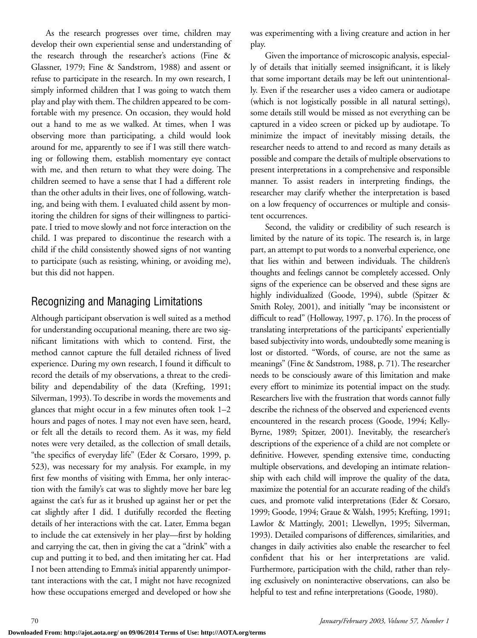As the research progresses over time, children may develop their own experiential sense and understanding of the research through the researcher's actions (Fine & Glassner, 1979; Fine & Sandstrom, 1988) and assent or refuse to participate in the research. In my own research, I simply informed children that I was going to watch them play and play with them. The children appeared to be comfortable with my presence. On occasion, they would hold out a hand to me as we walked. At times, when I was observing more than participating, a child would look around for me, apparently to see if I was still there watching or following them, establish momentary eye contact with me, and then return to what they were doing. The children seemed to have a sense that I had a different role than the other adults in their lives, one of following, watching, and being with them. I evaluated child assent by monitoring the children for signs of their willingness to participate. I tried to move slowly and not force interaction on the child. I was prepared to discontinue the research with a child if the child consistently showed signs of not wanting to participate (such as resisting, whining, or avoiding me), but this did not happen.

# Recognizing and Managing Limitations

Although participant observation is well suited as a method for understanding occupational meaning, there are two significant limitations with which to contend. First, the method cannot capture the full detailed richness of lived experience. During my own research, I found it difficult to record the details of my observations, a threat to the credibility and dependability of the data (Krefting, 1991; Silverman, 1993). To describe in words the movements and glances that might occur in a few minutes often took 1–2 hours and pages of notes. I may not even have seen, heard, or felt all the details to record them. As it was, my field notes were very detailed, as the collection of small details, "the specifics of everyday life" (Eder & Corsaro, 1999, p. 523), was necessary for my analysis. For example, in my first few months of visiting with Emma, her only interaction with the family's cat was to slightly move her bare leg against the cat's fur as it brushed up against her or pet the cat slightly after I did. I dutifully recorded the fleeting details of her interactions with the cat. Later, Emma began to include the cat extensively in her play—first by holding and carrying the cat, then in giving the cat a "drink" with a cup and putting it to bed, and then imitating her cat. Had I not been attending to Emma's initial apparently unimportant interactions with the cat, I might not have recognized how these occupations emerged and developed or how she

was experimenting with a living creature and action in her play.

Given the importance of microscopic analysis, especially of details that initially seemed insignificant, it is likely that some important details may be left out unintentionally. Even if the researcher uses a video camera or audiotape (which is not logistically possible in all natural settings), some details still would be missed as not everything can be captured in a video screen or picked up by audiotape. To minimize the impact of inevitably missing details, the researcher needs to attend to and record as many details as possible and compare the details of multiple observations to present interpretations in a comprehensive and responsible manner. To assist readers in interpreting findings, the researcher may clarify whether the interpretation is based on a low frequency of occurrences or multiple and consistent occurrences.

Second, the validity or credibility of such research is limited by the nature of its topic. The research is, in large part, an attempt to put words to a nonverbal experience, one that lies within and between individuals. The children's thoughts and feelings cannot be completely accessed. Only signs of the experience can be observed and these signs are highly individualized (Goode, 1994), subtle (Spitzer & Smith Roley, 2001), and initially "may be inconsistent or difficult to read" (Holloway, 1997, p. 176). In the process of translating interpretations of the participants' experientially based subjectivity into words, undoubtedly some meaning is lost or distorted. "Words, of course, are not the same as meanings" (Fine & Sandstrom, 1988, p. 71). The researcher needs to be consciously aware of this limitation and make every effort to minimize its potential impact on the study. Researchers live with the frustration that words cannot fully describe the richness of the observed and experienced events encountered in the research process (Goode, 1994; Kelly-Byrne, 1989; Spitzer, 2001). Inevitably, the researcher's descriptions of the experience of a child are not complete or definitive. However, spending extensive time, conducting multiple observations, and developing an intimate relationship with each child will improve the quality of the data, maximize the potential for an accurate reading of the child's cues, and promote valid interpretations (Eder & Corsaro, 1999; Goode, 1994; Graue & Walsh, 1995; Krefting, 1991; Lawlor & Mattingly, 2001; Llewellyn, 1995; Silverman, 1993). Detailed comparisons of differences, similarities, and changes in daily activities also enable the researcher to feel confident that his or her interpretations are valid. Furthermore, participation with the child, rather than relying exclusively on noninteractive observations, can also be helpful to test and refine interpretations (Goode, 1980).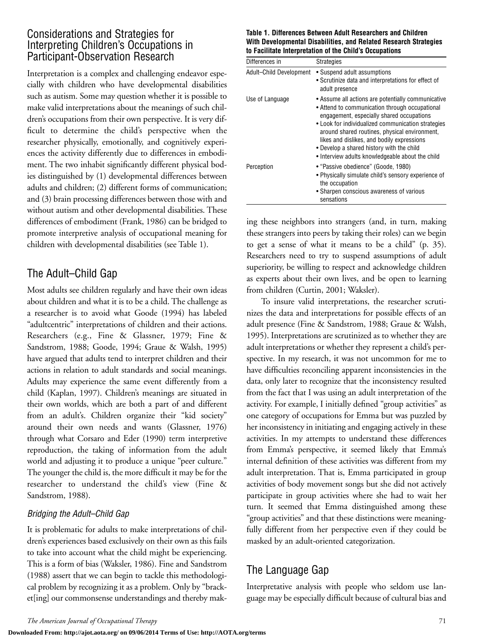### Considerations and Strategies for Interpreting Children's Occupations in Participant-Observation Research

Interpretation is a complex and challenging endeavor especially with children who have developmental disabilities such as autism. Some may question whether it is possible to make valid interpretations about the meanings of such children's occupations from their own perspective. It is very difficult to determine the child's perspective when the researcher physically, emotionally, and cognitively experiences the activity differently due to differences in embodiment. The two inhabit significantly different physical bodies distinguished by (1) developmental differences between adults and children; (2) different forms of communication; and (3) brain processing differences between those with and without autism and other developmental disabilities. These differences of embodiment (Frank, 1986) can be bridged to promote interpretive analysis of occupational meaning for children with developmental disabilities (see Table 1).

# The Adult–Child Gap

Most adults see children regularly and have their own ideas about children and what it is to be a child. The challenge as a researcher is to avoid what Goode (1994) has labeled "adultcentric" interpretations of children and their actions. Researchers (e.g., Fine & Glassner, 1979; Fine & Sandstrom, 1988; Goode, 1994; Graue & Walsh, 1995) have argued that adults tend to interpret children and their actions in relation to adult standards and social meanings. Adults may experience the same event differently from a child (Kaplan, 1997). Children's meanings are situated in their own worlds, which are both a part of and different from an adult's. Children organize their "kid society" around their own needs and wants (Glassner, 1976) through what Corsaro and Eder (1990) term interpretive reproduction, the taking of information from the adult world and adjusting it to produce a unique "peer culture." The younger the child is, the more difficult it may be for the researcher to understand the child's view (Fine & Sandstrom, 1988).

#### *Bridging the Adult–Child Gap*

It is problematic for adults to make interpretations of children's experiences based exclusively on their own as this fails to take into account what the child might be experiencing. This is a form of bias (Waksler, 1986). Fine and Sandstrom (1988) assert that we can begin to tackle this methodological problem by recognizing it as a problem. Only by "bracket[ing] our commonsense understandings and thereby mak-

#### **Table 1. Differences Between Adult Researchers and Children With Developmental Disabilities, and Related Research Strategies to Facilitate Interpretation of the Child's Occupations**

| Differences in          | <b>Strategies</b>                                                                                                                                                                                                                                                                                                                                                                                       |
|-------------------------|---------------------------------------------------------------------------------------------------------------------------------------------------------------------------------------------------------------------------------------------------------------------------------------------------------------------------------------------------------------------------------------------------------|
| Adult-Child Development | • Suspend adult assumptions<br>• Scrutinize data and interpretations for effect of<br>adult presence                                                                                                                                                                                                                                                                                                    |
| Use of Language         | • Assume all actions are potentially communicative<br>• Attend to communication through occupational<br>engagement, especially shared occupations<br>• Look for individualized communication strategies<br>around shared routines, physical environment,<br>likes and dislikes, and bodily expressions<br>• Develop a shared history with the child<br>• Interview adults knowledgeable about the child |
| Perception              | • "Passive obedience" (Goode, 1980)<br>• Physically simulate child's sensory experience of<br>the occupation<br>• Sharpen conscious awareness of various<br>sensations                                                                                                                                                                                                                                  |

ing these neighbors into strangers (and, in turn, making these strangers into peers by taking their roles) can we begin to get a sense of what it means to be a child" (p. 35). Researchers need to try to suspend assumptions of adult superiority, be willing to respect and acknowledge children as experts about their own lives, and be open to learning from children (Curtin, 2001; Waksler).

To insure valid interpretations, the researcher scrutinizes the data and interpretations for possible effects of an adult presence (Fine & Sandstrom, 1988; Graue & Walsh, 1995). Interpretations are scrutinized as to whether they are adult interpretations or whether they represent a child's perspective. In my research, it was not uncommon for me to have difficulties reconciling apparent inconsistencies in the data, only later to recognize that the inconsistency resulted from the fact that I was using an adult interpretation of the activity. For example, I initially defined "group activities" as one category of occupations for Emma but was puzzled by her inconsistency in initiating and engaging actively in these activities. In my attempts to understand these differences from Emma's perspective, it seemed likely that Emma's internal definition of these activities was different from my adult interpretation. That is, Emma participated in group activities of body movement songs but she did not actively participate in group activities where she had to wait her turn. It seemed that Emma distinguished among these "group activities" and that these distinctions were meaningfully different from her perspective even if they could be masked by an adult-oriented categorization.

# The Language Gap

Interpretative analysis with people who seldom use language may be especially difficult because of cultural bias and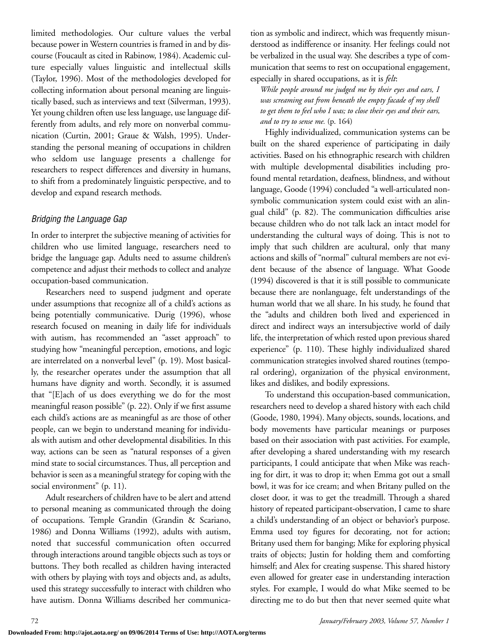limited methodologies. Our culture values the verbal because power in Western countries is framed in and by discourse (Foucault as cited in Rabinow, 1984). Academic culture especially values linguistic and intellectual skills (Taylor, 1996). Most of the methodologies developed for collecting information about personal meaning are linguistically based, such as interviews and text (Silverman, 1993). Yet young children often use less language, use language differently from adults, and rely more on nonverbal communication (Curtin, 2001; Graue & Walsh, 1995). Understanding the personal meaning of occupations in children who seldom use language presents a challenge for researchers to respect differences and diversity in humans, to shift from a predominately linguistic perspective, and to develop and expand research methods.

#### *Bridging the Language Gap*

In order to interpret the subjective meaning of activities for children who use limited language, researchers need to bridge the language gap. Adults need to assume children's competence and adjust their methods to collect and analyze occupation-based communication.

Researchers need to suspend judgment and operate under assumptions that recognize all of a child's actions as being potentially communicative. Durig (1996), whose research focused on meaning in daily life for individuals with autism, has recommended an "asset approach" to studying how "meaningful perception, emotions, and logic are interrelated on a nonverbal level" (p. 19). Most basically, the researcher operates under the assumption that all humans have dignity and worth. Secondly, it is assumed that "[E]ach of us does everything we do for the most meaningful reason possible" (p. 22). Only if we first assume each child's actions are as meaningful as are those of other people, can we begin to understand meaning for individuals with autism and other developmental disabilities. In this way, actions can be seen as "natural responses of a given mind state to social circumstances. Thus, all perception and behavior is seen as a meaningful strategy for coping with the social environment" (p. 11).

Adult researchers of children have to be alert and attend to personal meaning as communicated through the doing of occupations. Temple Grandin (Grandin & Scariano, 1986) and Donna Williams (1992), adults with autism, noted that successful communication often occurred through interactions around tangible objects such as toys or buttons. They both recalled as children having interacted with others by playing with toys and objects and, as adults, used this strategy successfully to interact with children who have autism. Donna Williams described her communication as symbolic and indirect, which was frequently misunderstood as indifference or insanity. Her feelings could not be verbalized in the usual way. She describes a type of communication that seems to rest on occupational engagement, especially in shared occupations, as it is *felt*:

*While people around me judged me by their eyes and ears, I was screaming out from beneath the empty facade of my shell to get them to feel who I was; to close their eyes and their ears, and to try to sense me.* (p. 164)

Highly individualized, communication systems can be built on the shared experience of participating in daily activities. Based on his ethnographic research with children with multiple developmental disabilities including profound mental retardation, deafness, blindness, and without language, Goode (1994) concluded "a well-articulated nonsymbolic communication system could exist with an alingual child" (p. 82). The communication difficulties arise because children who do not talk lack an intact model for understanding the cultural ways of doing. This is not to imply that such children are acultural, only that many actions and skills of "normal" cultural members are not evident because of the absence of language. What Goode (1994) discovered is that it is still possible to communicate because there are nonlanguage, felt understandings of the human world that we all share. In his study, he found that the "adults and children both lived and experienced in direct and indirect ways an intersubjective world of daily life, the interpretation of which rested upon previous shared experience" (p. 110). These highly individualized shared communication strategies involved shared routines (temporal ordering), organization of the physical environment, likes and dislikes, and bodily expressions.

To understand this occupation-based communication, researchers need to develop a shared history with each child (Goode, 1980, 1994). Many objects, sounds, locations, and body movements have particular meanings or purposes based on their association with past activities. For example, after developing a shared understanding with my research participants, I could anticipate that when Mike was reaching for dirt, it was to drop it; when Emma got out a small bowl, it was for ice cream; and when Britany pulled on the closet door, it was to get the treadmill. Through a shared history of repeated participant-observation, I came to share a child's understanding of an object or behavior's purpose. Emma used toy figures for decorating, not for action; Britany used them for banging; Mike for exploring physical traits of objects; Justin for holding them and comforting himself; and Alex for creating suspense. This shared history even allowed for greater ease in understanding interaction styles. For example, I would do what Mike seemed to be directing me to do but then that never seemed quite what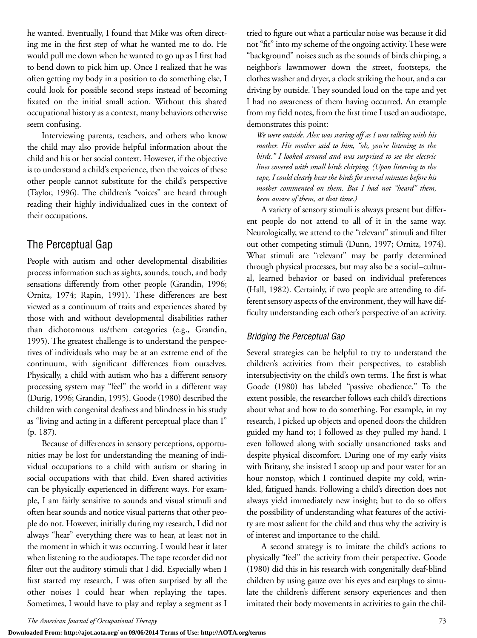he wanted. Eventually, I found that Mike was often directing me in the first step of what he wanted me to do. He would pull me down when he wanted to go up as I first had to bend down to pick him up. Once I realized that he was often getting my body in a position to do something else, I could look for possible second steps instead of becoming fixated on the initial small action. Without this shared occupational history as a context, many behaviors otherwise seem confusing.

Interviewing parents, teachers, and others who know the child may also provide helpful information about the child and his or her social context. However, if the objective is to understand a child's experience, then the voices of these other people cannot substitute for the child's perspective (Taylor, 1996). The children's "voices" are heard through reading their highly individualized cues in the context of their occupations.

## The Perceptual Gap

People with autism and other developmental disabilities process information such as sights, sounds, touch, and body sensations differently from other people (Grandin, 1996; Ornitz, 1974; Rapin, 1991). These differences are best viewed as a continuum of traits and experiences shared by those with and without developmental disabilities rather than dichotomous us/them categories (e.g., Grandin, 1995). The greatest challenge is to understand the perspectives of individuals who may be at an extreme end of the continuum, with significant differences from ourselves. Physically, a child with autism who has a different sensory processing system may "feel" the world in a different way (Durig, 1996; Grandin, 1995). Goode (1980) described the children with congenital deafness and blindness in his study as "living and acting in a different perceptual place than I" (p. 187).

Because of differences in sensory perceptions, opportunities may be lost for understanding the meaning of individual occupations to a child with autism or sharing in social occupations with that child. Even shared activities can be physically experienced in different ways. For example, I am fairly sensitive to sounds and visual stimuli and often hear sounds and notice visual patterns that other people do not. However, initially during my research, I did not always "hear" everything there was to hear, at least not in the moment in which it was occurring. I would hear it later when listening to the audiotapes. The tape recorder did not filter out the auditory stimuli that I did. Especially when I first started my research, I was often surprised by all the other noises I could hear when replaying the tapes. Sometimes, I would have to play and replay a segment as I tried to figure out what a particular noise was because it did not "fit" into my scheme of the ongoing activity. These were "background" noises such as the sounds of birds chirping, a neighbor's lawnmower down the street, footsteps, the clothes washer and dryer, a clock striking the hour, and a car driving by outside. They sounded loud on the tape and yet I had no awareness of them having occurred. An example from my field notes, from the first time I used an audiotape, demonstrates this point:

*We were outside. Alex was staring off as I was talking with his mother. His mother said to him, "oh, you're listening to the birds." I looked around and was surprised to see the electric lines covered with small birds chirping. (Upon listening to the tape, I could clearly hear the birds for several minutes before his mother commented on them. But I had not "heard" them, been aware of them, at that time.)*

A variety of sensory stimuli is always present but different people do not attend to all of it in the same way. Neurologically, we attend to the "relevant" stimuli and filter out other competing stimuli (Dunn, 1997; Ornitz, 1974). What stimuli are "relevant" may be partly determined through physical processes, but may also be a social–cultural, learned behavior or based on individual preferences (Hall, 1982). Certainly, if two people are attending to different sensory aspects of the environment, they will have difficulty understanding each other's perspective of an activity.

#### *Bridging the Perceptual Gap*

Several strategies can be helpful to try to understand the children's activities from their perspectives, to establish intersubjectivity on the child's own terms. The first is what Goode (1980) has labeled "passive obedience." To the extent possible, the researcher follows each child's directions about what and how to do something. For example, in my research, I picked up objects and opened doors the children guided my hand to; I followed as they pulled my hand. I even followed along with socially unsanctioned tasks and despite physical discomfort. During one of my early visits with Britany, she insisted I scoop up and pour water for an hour nonstop, which I continued despite my cold, wrinkled, fatigued hands. Following a child's direction does not always yield immediately new insight; but to do so offers the possibility of understanding what features of the activity are most salient for the child and thus why the activity is of interest and importance to the child.

A second strategy is to imitate the child's actions to physically "feel" the activity from their perspective. Goode (1980) did this in his research with congenitally deaf-blind children by using gauze over his eyes and earplugs to simulate the children's different sensory experiences and then imitated their body movements in activities to gain the chil-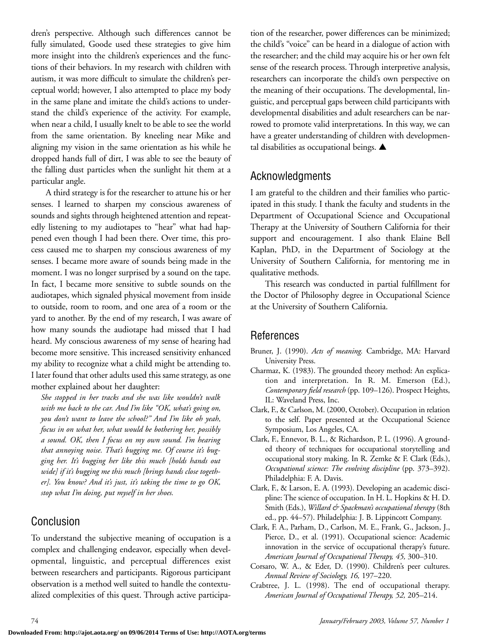dren's perspective. Although such differences cannot be fully simulated, Goode used these strategies to give him more insight into the children's experiences and the functions of their behaviors. In my research with children with autism, it was more difficult to simulate the children's perceptual world; however, I also attempted to place my body in the same plane and imitate the child's actions to understand the child's experience of the activity. For example, when near a child, I usually knelt to be able to see the world from the same orientation. By kneeling near Mike and aligning my vision in the same orientation as his while he dropped hands full of dirt, I was able to see the beauty of the falling dust particles when the sunlight hit them at a particular angle.

A third strategy is for the researcher to attune his or her senses. I learned to sharpen my conscious awareness of sounds and sights through heightened attention and repeatedly listening to my audiotapes to "hear" what had happened even though I had been there. Over time, this process caused me to sharpen my conscious awareness of my senses. I became more aware of sounds being made in the moment. I was no longer surprised by a sound on the tape. In fact, I became more sensitive to subtle sounds on the audiotapes, which signaled physical movement from inside to outside, room to room, and one area of a room or the yard to another. By the end of my research, I was aware of how many sounds the audiotape had missed that I had heard. My conscious awareness of my sense of hearing had become more sensitive. This increased sensitivity enhanced my ability to recognize what a child might be attending to. I later found that other adults used this same strategy, as one mother explained about her daughter:

*She stopped in her tracks and she was like wouldn't walk with me back to the car. And I'm like "OK, what's going on, you don't want to leave the school?" And I'm like oh yeah, focus in on what her, what would be bothering her, possibly a sound. OK, then I focus on my own sound. I'm hearing that annoying noise. That's bugging me. Of course it's bugging her. It's bugging her like this much [holds hands out wide] if it's bugging me this much [brings hands close together]. You know? And it's just, it's taking the time to go OK, stop what I'm doing, put myself in her shoes.*

# Conclusion

To understand the subjective meaning of occupation is a complex and challenging endeavor, especially when developmental, linguistic, and perceptual differences exist between researchers and participants. Rigorous participant observation is a method well suited to handle the contextualized complexities of this quest. Through active participation of the researcher, power differences can be minimized; the child's "voice" can be heard in a dialogue of action with the researcher; and the child may acquire his or her own felt sense of the research process. Through interpretive analysis, researchers can incorporate the child's own perspective on the meaning of their occupations. The developmental, linguistic, and perceptual gaps between child participants with developmental disabilities and adult researchers can be narrowed to promote valid interpretations. In this way, we can have a greater understanding of children with developmental disabilities as occupational beings. **▲**

# Acknowledgments

I am grateful to the children and their families who participated in this study. I thank the faculty and students in the Department of Occupational Science and Occupational Therapy at the University of Southern California for their support and encouragement. I also thank Elaine Bell Kaplan, PhD, in the Department of Sociology at the University of Southern California, for mentoring me in qualitative methods.

This research was conducted in partial fulfillment for the Doctor of Philosophy degree in Occupational Science at the University of Southern California.

# References

- Bruner, J. (1990). *Acts of meaning.* Cambridge, MA: Harvard University Press.
- Charmaz, K. (1983). The grounded theory method: An explication and interpretation. In R. M. Emerson (Ed.), *Contemporary field research* (pp. 109–126). Prospect Heights, IL: Waveland Press, Inc.
- Clark, F., & Carlson, M. (2000, October). Occupation in relation to the self. Paper presented at the Occupational Science Symposium, Los Angeles, CA.
- Clark, F., Ennevor, B. L., & Richardson, P. L. (1996). A grounded theory of techniques for occupational storytelling and occupational story making. In R. Zemke & F. Clark (Eds.), *Occupational science: The evolving discipline* (pp. 373–392). Philadelphia: F. A. Davis.
- Clark, F., & Larson, E. A. (1993). Developing an academic discipline: The science of occupation. In H. L. Hopkins & H. D. Smith (Eds.), *Willard & Spackman's occupational therapy* (8th ed., pp. 44–57). Philadelphia: J. B. Lippincott Company.
- Clark, F. A., Parham, D., Carlson, M. E., Frank, G., Jackson, J., Pierce, D., et al. (1991). Occupational science: Academic innovation in the service of occupational therapy's future. *American Journal of Occupational Therapy, 45,* 300–310.
- Corsaro, W. A., & Eder, D. (1990). Children's peer cultures. *Annual Review of Sociology, 16,* 197–220.
- Crabtree, J. L. (1998). The end of occupational therapy. *American Journal of Occupational Therapy, 52,* 205–214.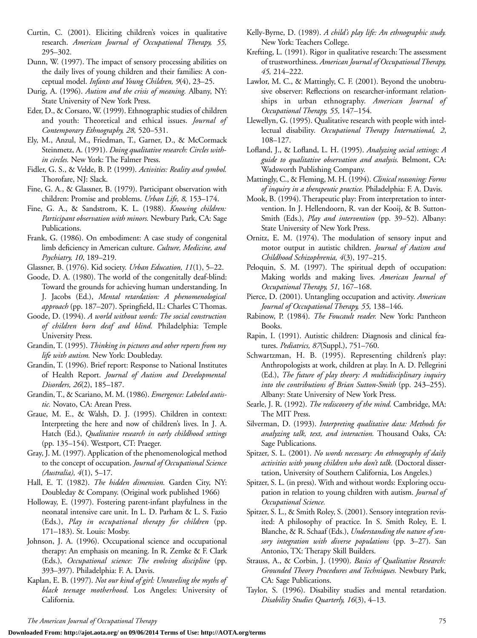- Curtin, C. (2001). Eliciting children's voices in qualitative research. *American Journal of Occupational Therapy, 55,* 295–302.
- Dunn, W. (1997). The impact of sensory processing abilities on the daily lives of young children and their families: A conceptual model. *Infants and Young Children, 9*(4), 23–25.
- Durig, A. (1996). *Autism and the crisis of meaning.* Albany, NY: State University of New York Press.
- Eder, D., & Corsaro, W. (1999). Ethnographic studies of children and youth: Theoretical and ethical issues. *Journal of Contemporary Ethnography, 28,* 520–531.
- Ely, M., Anzul, M., Friedman, T., Garner, D., & McCormack Steinmetz, A. (1991). *Doing qualitative research: Circles within circles.* New York: The Falmer Press.
- Fidler, G. S., & Velde, B. P. (1999). *Activities: Reality and symbol.* Thorofare, NJ: Slack.
- Fine, G. A., & Glassner, B. (1979). Participant observation with children: Promise and problems. *Urban Life, 8,* 153–174.
- Fine, G. A., & Sandstrom, K. L. (1988). *Knowing children: Participant observation with minors.* Newbury Park, CA: Sage Publications.
- Frank, G. (1986). On embodiment: A case study of congenital limb deficiency in American culture. *Culture, Medicine, and Psychiatry, 10*, 189–219.
- Glassner, B. (1976). Kid society. *Urban Education, 11*(1), 5–22.
- Goode, D. A. (1980). The world of the congenitally deaf-blind: Toward the grounds for achieving human understanding. In J. Jacobs (Ed.), *Mental retardation: A phenomenological approach* (pp. 187–207). Springfield, IL: Charles C Thomas.
- Goode, D. (1994). *A world without words: The social construction of children born deaf and blind.* Philadelphia: Temple University Press.
- Grandin, T. (1995). *Thinking in pictures and other reports from my life with autism.* New York: Doubleday.
- Grandin, T. (1996). Brief report: Response to National Institutes of Health Report. *Journal of Autism and Developmental Disorders, 26*(2), 185–187.
- Grandin, T., & Scariano, M. M. (1986). *Emergence: Labeled autistic.* Novato, CA: Arean Press.
- Graue, M. E., & Walsh, D. J. (1995). Children in context: Interpreting the here and now of children's lives. In J. A. Hatch (Ed.), *Qualitative research in early childhood settings* (pp. 135–154). Westport, CT: Praeger.
- Gray, J. M. (1997). Application of the phenomenological method to the concept of occupation. *Journal of Occupational Science (Australia), 4*(1), 5–17.
- Hall, E. T. (1982). *The hidden dimension.* Garden City, NY: Doubleday & Company. (Original work published 1966)
- Holloway, E. (1997). Fostering parent-infant playfulness in the neonatal intensive care unit. In L. D. Parham & L. S. Fazio (Eds.), *Play in occupational therapy for children* (pp. 171–183). St. Louis: Mosby.
- Johnson, J. A. (1996). Occupational science and occupational therapy: An emphasis on meaning. In R. Zemke & F. Clark (Eds.), *Occupational science: The evolving discipline* (pp. 393–397). Philadelphia: F. A. Davis.
- Kaplan, E. B. (1997). *Not our kind of girl: Unraveling the myths of black teenage motherhood.* Los Angeles: University of California.
- Kelly-Byrne, D. (1989). *A child's play life: An ethnographic study.* New York: Teachers College.
- Krefting, L. (1991). Rigor in qualitative research: The assessment of trustworthiness. *American Journal of Occupational Therapy, 45,* 214–222.
- Lawlor, M. C., & Mattingly, C. F. (2001). Beyond the unobtrusive observer: Reflections on researcher-informant relationships in urban ethnography. *American Journal of Occupational Therapy, 55,* 147–154.
- Llewellyn, G. (1995). Qualitative research with people with intellectual disability. *Occupational Therapy International, 2*, 108–127.
- Lofland, J., & Lofland, L. H. (1995). *Analyzing social settings: A guide to qualitative observation and analysis.* Belmont, CA: Wadsworth Publishing Company.
- Mattingly, C., & Fleming, M. H. (1994). *Clinical reasoning: Forms of inquiry in a therapeutic practice.* Philadelphia: F. A. Davis.
- Mook, B. (1994). Therapeutic play: From interpretation to intervention. In J. Hellendoorn, R. van der Kooij, & B. Sutton-Smith (Eds.), *Play and intervention* (pp. 39–52). Albany: State University of New York Press.
- Ornitz, E. M. (1974). The modulation of sensory input and motor output in autistic children. *Journal of Autism and Childhood Schizophrenia, 4*(3), 197–215.
- Peloquin, S. M. (1997). The spiritual depth of occupation: Making worlds and making lives. *American Journal of Occupational Therapy, 51,* 167–168.
- Pierce, D. (2001). Untangling occupation and activity. *American Journal of Occupational Therapy, 55,* 138–146.
- Rabinow, P. (1984). *The Foucault reader.* New York: Pantheon Books.
- Rapin, I. (1991). Autistic children: Diagnosis and clinical features. *Pediatrics, 87*(Suppl.), 751–760.
- Schwartzman, H. B. (1995). Representing children's play: Anthropologists at work, children at play. In A. D. Pellegrini (Ed.), *The future of play theory: A multidisciplinary inquiry into the contributions of Brian Sutton-Smith* (pp. 243–255). Albany: State University of New York Press.
- Searle, J. R. (1992). *The rediscovery of the mind.* Cambridge, MA: The MIT Press.
- Silverman, D. (1993). *Interpreting qualitative data: Methods for analyzing talk, text, and interaction.* Thousand Oaks, CA: Sage Publications.
- Spitzer, S. L. (2001). *No words necessary: An ethnography of daily activities with young children who don't talk.* (Doctoral dissertation, University of Southern California, Los Angeles.)
- Spitzer, S. L. (in press). With and without words: Exploring occupation in relation to young children with autism. *Journal of Occupational Science.*
- Spitzer, S. L., & Smith Roley, S. (2001). Sensory integration revisited: A philosophy of practice. In S. Smith Roley, E. I. Blanche, & R. Schaaf (Eds.), *Understanding the nature of sensory integration with diverse populations* (pp. 3–27). San Antonio, TX: Therapy Skill Builders.
- Strauss, A., & Corbin, J. (1990). *Basics of Qualitative Research: Grounded Theory Procedures and Techniques.* Newbury Park, CA: Sage Publications.
- Taylor, S. (1996). Disability studies and mental retardation. *Disability Studies Quarterly, 16*(3), 4–13.